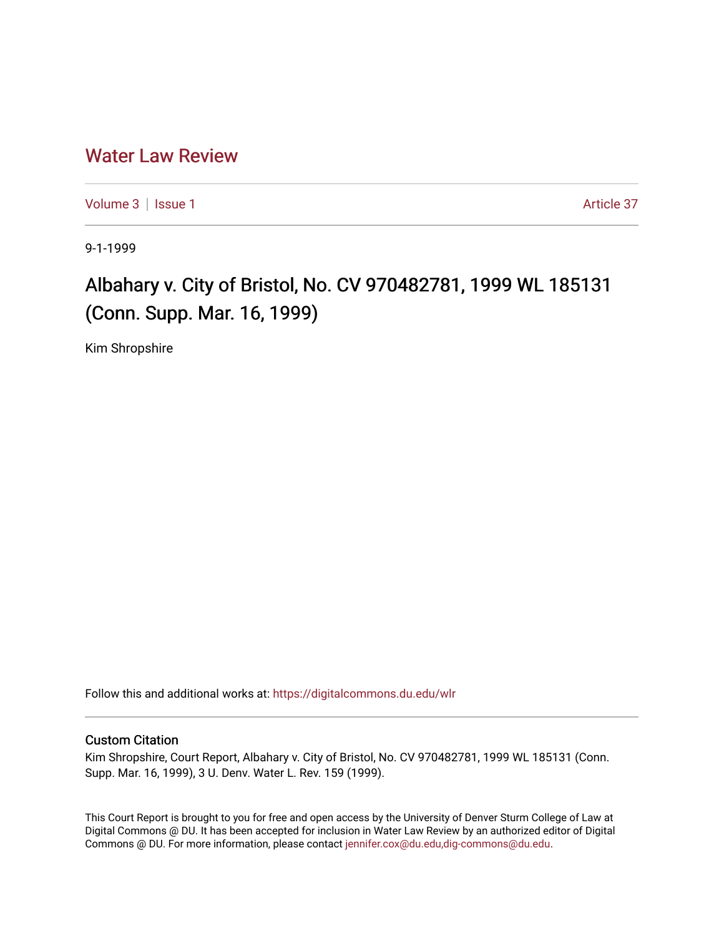## [Water Law Review](https://digitalcommons.du.edu/wlr)

[Volume 3](https://digitalcommons.du.edu/wlr/vol3) | [Issue 1](https://digitalcommons.du.edu/wlr/vol3/iss1) Article 37

9-1-1999

## Albahary v. City of Bristol, No. CV 970482781, 1999 WL 185131 (Conn. Supp. Mar. 16, 1999)

Kim Shropshire

Follow this and additional works at: [https://digitalcommons.du.edu/wlr](https://digitalcommons.du.edu/wlr?utm_source=digitalcommons.du.edu%2Fwlr%2Fvol3%2Fiss1%2F37&utm_medium=PDF&utm_campaign=PDFCoverPages) 

## Custom Citation

Kim Shropshire, Court Report, Albahary v. City of Bristol, No. CV 970482781, 1999 WL 185131 (Conn. Supp. Mar. 16, 1999), 3 U. Denv. Water L. Rev. 159 (1999).

This Court Report is brought to you for free and open access by the University of Denver Sturm College of Law at Digital Commons @ DU. It has been accepted for inclusion in Water Law Review by an authorized editor of Digital Commons @ DU. For more information, please contact [jennifer.cox@du.edu,dig-commons@du.edu.](mailto:jennifer.cox@du.edu,dig-commons@du.edu)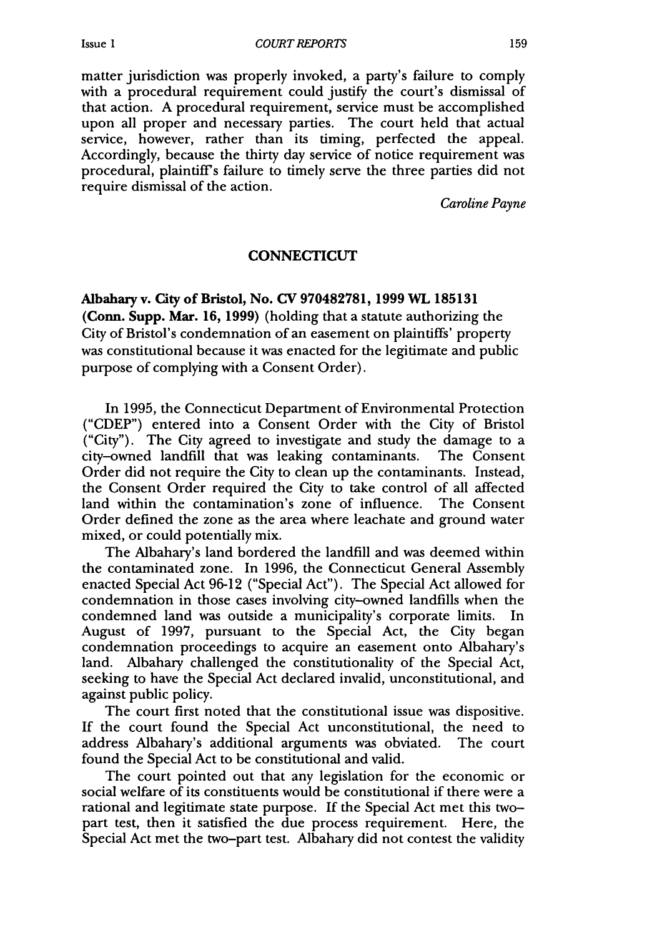matter jurisdiction was properly invoked, a party's failure to comply with a procedural requirement could justify the court's dismissal of that action. **A** procedural requirement, service must be accomplished upon all proper and necessary parties. The court held that actual service, however, rather than its timing, perfected the appeal. Accordingly, because the thirty day service of notice requirement was procedural, plaintiffs failure to timely serve the three parties did not require dismissal of the action.

*Caroline Payne*

## **CONNECTICUT**

Albahary v. City of Bristol, No. **CV 970482781, 1999 WL 185131** (Conn. Supp. Mar. **16, 1999)** (holding that a statute authorizing the City of Bristol's condemnation of an easement on plaintiffs' property was constitutional because it was enacted for the legitimate and public purpose of complying with a Consent Order).

In **1995,** the Connecticut Department of Environmental Protection **("CDEP")** entered into a Consent Order with the City of Bristol ("City"). The City agreed to investigate and study the damage to a city-owned landfill that was leaking contaminants. The Consent Order did not require the City to clean up the contaminants. Instead, the Consent Order required the City to take control of all affected land within the contamination's zone of influence. The Consent Order defined the zone as the area where leachate and ground water mixed, or could potentially mix.

The Albahary's land bordered the landfill and was deemed within the contaminated zone. In **1996,** the Connecticut General Assembly enacted Special Act **96-12** ("Special Act"). The Special Act allowed for condemnation in those cases involving city-owned landfills when the condemned land was outside a municipality's corporate limits. In August of **1997,** pursuant to the Special Act, the City began condemnation proceedings to acquire an easement onto Albahary's land. Albahary challenged the constitutionality of the Special Act, seeking to have the Special Act declared invalid, unconstitutional, and against public policy.

The court first noted that the constitutional issue was dispositive. **If** the court found the Special Act unconstitutional, the need to address Albahary's additional arguments was obviated. The court found the Special Act to be constitutional and valid.

The court pointed out that any legislation for the economic or social welfare of its constituents would be constitutional if there were a rational and legitimate state purpose. If the Special Act met this twopart test, then it satisfied the due process requirement. Here, the Special Act met the two-part test. Albahary did not contest the validity